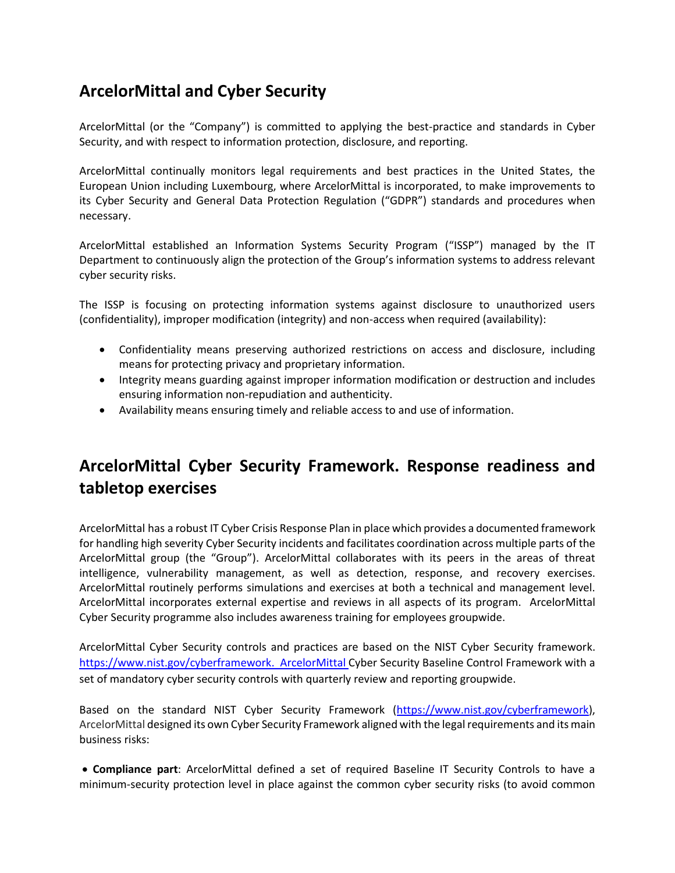#### **ArcelorMittal and Cyber Security**

ArcelorMittal (or the "Company") is committed to applying the best-practice and standards in Cyber Security, and with respect to information protection, disclosure, and reporting.

ArcelorMittal continually monitors legal requirements and best practices in the United States, the European Union including Luxembourg, where ArcelorMittal is incorporated, to make improvements to its Cyber Security and General Data Protection Regulation ("GDPR") standards and procedures when necessary.

ArcelorMittal established an Information Systems Security Program ("ISSP") managed by the IT Department to continuously align the protection of the Group's information systems to address relevant cyber security risks.

The ISSP is focusing on protecting information systems against disclosure to unauthorized users (confidentiality), improper modification (integrity) and non-access when required (availability):

- Confidentiality means preserving authorized restrictions on access and disclosure, including means for protecting privacy and proprietary information.
- Integrity means guarding against improper information modification or destruction and includes ensuring information non-repudiation and authenticity.
- Availability means ensuring timely and reliable access to and use of information.

## **ArcelorMittal Cyber Security Framework. Response readiness and tabletop exercises**

ArcelorMittal has a robust IT Cyber Crisis Response Plan in place which provides a documented framework for handling high severity Cyber Security incidents and facilitates coordination across multiple parts of the ArcelorMittal group (the "Group"). ArcelorMittal collaborates with its peers in the areas of threat intelligence, vulnerability management, as well as detection, response, and recovery exercises. ArcelorMittal routinely performs simulations and exercises at both a technical and management level. ArcelorMittal incorporates external expertise and reviews in all aspects of its program. ArcelorMittal Cyber Security programme also includes awareness training for employees groupwide.

ArcelorMittal Cyber Security controls and practices are based on the NIST Cyber Security framework. [https://www.nist.gov/cyberframework.](https://www.nist.gov/cyberframework) ArcelorMittal Cyber Security Baseline Control Framework with a set of mandatory cyber security controls with quarterly review and reporting groupwide.

Based on the standard NIST Cyber Security Framework [\(https://www.nist.gov/cyberframework\)](https://www.nist.gov/cyberframework), ArcelorMittal designed its own Cyber Security Framework aligned with the legal requirements and its main business risks:

• **Compliance part**: ArcelorMittal defined a set of required Baseline IT Security Controls to have a minimum-security protection level in place against the common cyber security risks (to avoid common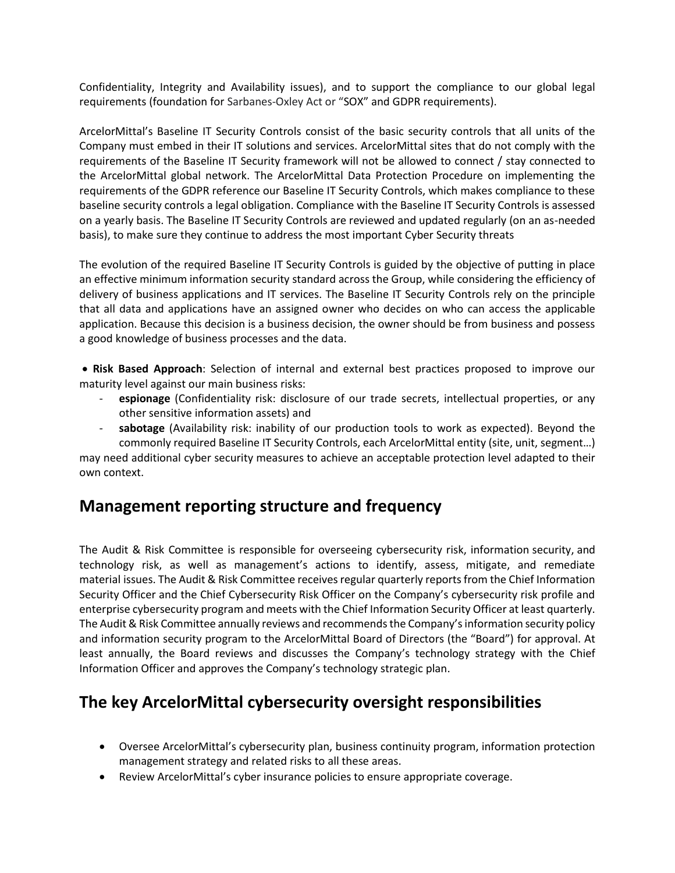Confidentiality, Integrity and Availability issues), and to support the compliance to our global legal requirements (foundation for Sarbanes-Oxley Act or "SOX" and GDPR requirements).

ArcelorMittal's Baseline IT Security Controls consist of the basic security controls that all units of the Company must embed in their IT solutions and services. ArcelorMittal sites that do not comply with the requirements of the Baseline IT Security framework will not be allowed to connect / stay connected to the ArcelorMittal global network. The ArcelorMittal Data Protection Procedure on implementing the requirements of the GDPR reference our Baseline IT Security Controls, which makes compliance to these baseline security controls a legal obligation. Compliance with the Baseline IT Security Controls is assessed on a yearly basis. The Baseline IT Security Controls are reviewed and updated regularly (on an as-needed basis), to make sure they continue to address the most important Cyber Security threats

The evolution of the required Baseline IT Security Controls is guided by the objective of putting in place an effective minimum information security standard across the Group, while considering the efficiency of delivery of business applications and IT services. The Baseline IT Security Controls rely on the principle that all data and applications have an assigned owner who decides on who can access the applicable application. Because this decision is a business decision, the owner should be from business and possess a good knowledge of business processes and the data.

• **Risk Based Approach**: Selection of internal and external best practices proposed to improve our maturity level against our main business risks:

- **espionage** (Confidentiality risk: disclosure of our trade secrets, intellectual properties, or any other sensitive information assets) and
- sabotage (Availability risk: inability of our production tools to work as expected). Beyond the commonly required Baseline IT Security Controls, each ArcelorMittal entity (site, unit, segment…)

may need additional cyber security measures to achieve an acceptable protection level adapted to their own context.

#### **Management reporting structure and frequency**

The Audit & Risk Committee is responsible for overseeing cybersecurity risk, information security, and technology risk, as well as management's actions to identify, assess, mitigate, and remediate material issues. The Audit & Risk Committee receives regular quarterly reports from the Chief Information Security Officer and the Chief Cybersecurity Risk Officer on the Company's cybersecurity risk profile and enterprise cybersecurity program and meets with the Chief Information Security Officer at least quarterly. The Audit & Risk Committee annually reviews and recommends the Company's information security policy and information security program to the ArcelorMittal Board of Directors (the "Board") for approval. At least annually, the Board reviews and discusses the Company's technology strategy with the Chief Information Officer and approves the Company's technology strategic plan.

#### **The key ArcelorMittal cybersecurity oversight responsibilities**

- Oversee ArcelorMittal's cybersecurity plan, business continuity program, information protection management strategy and related risks to all these areas.
- Review ArcelorMittal's cyber insurance policies to ensure appropriate coverage.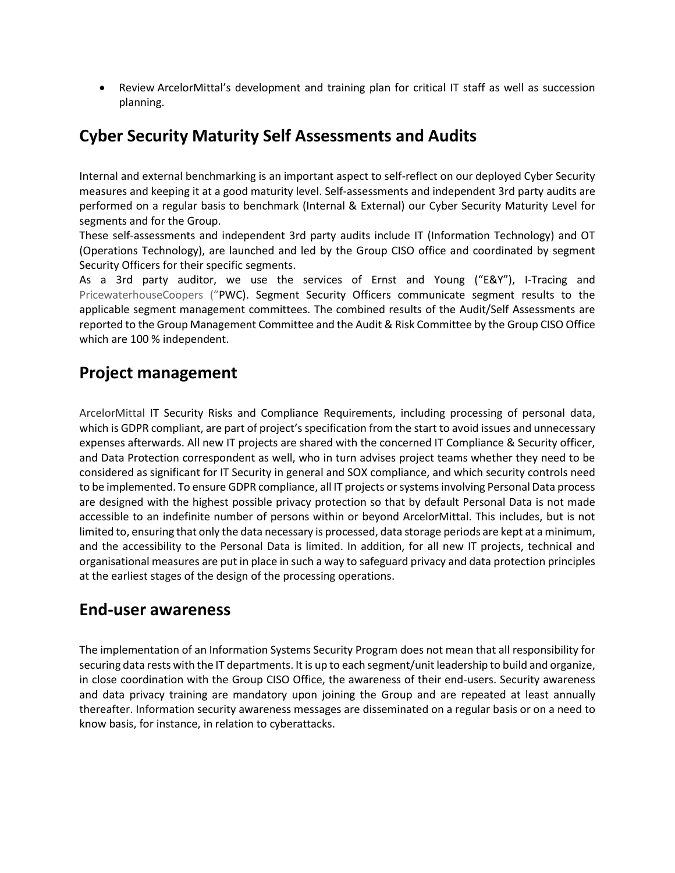• Review ArcelorMittal's development and training plan for critical IT staff as well as succession planning.

## **Cyber Security Maturity Self Assessments and Audits**

Internal and external benchmarking is an important aspect to self-reflect on our deployed Cyber Security measures and keeping it at a good maturity level. Self-assessments and independent 3rd party audits are performed on a regular basis to benchmark (Internal & External) our Cyber Security Maturity Level for segments and for the Group.

These self-assessments and independent 3rd party audits include IT (Information Technology) and OT (Operations Technology), are launched and led by the Group CISO office and coordinated by segment Security Officers for their specific segments.

As a 3rd party auditor, we use the services of Ernst and Young ("E&Y"), I-Tracing and PricewaterhouseCoopers ("PWC). Segment Security Officers communicate segment results to the applicable segment management committees. The combined results of the Audit/Self Assessments are reported to the Group Management Committee and the Audit & Risk Committee by the Group CISO Office which are 100 % independent.

#### **Project management**

ArcelorMittal IT Security Risks and Compliance Requirements, including processing of personal data, which is GDPR compliant, are part of project's specification from the start to avoid issues and unnecessary expenses afterwards. All new IT projects are shared with the concerned IT Compliance & Security officer, and Data Protection correspondent as well, who in turn advises project teams whether they need to be considered as significant for IT Security in general and SOX compliance, and which security controls need to be implemented. To ensure GDPR compliance, all IT projects or systems involving Personal Data process are designed with the highest possible privacy protection so that by default Personal Data is not made accessible to an indefinite number of persons within or beyond ArcelorMittal. This includes, but is not limited to, ensuring that only the data necessary is processed, data storage periods are kept at a minimum, and the accessibility to the Personal Data is limited. In addition, for all new IT projects, technical and organisational measures are put in place in such a way to safeguard privacy and data protection principles at the earliest stages of the design of the processing operations.

#### **End-user awareness**

The implementation of an Information Systems Security Program does not mean that all responsibility for securing data rests with the IT departments. It is up to each segment/unit leadership to build and organize, in close coordination with the Group CISO Office, the awareness of their end-users. Security awareness and data privacy training are mandatory upon joining the Group and are repeated at least annually thereafter. Information security awareness messages are disseminated on a regular basis or on a need to know basis, for instance, in relation to cyberattacks.